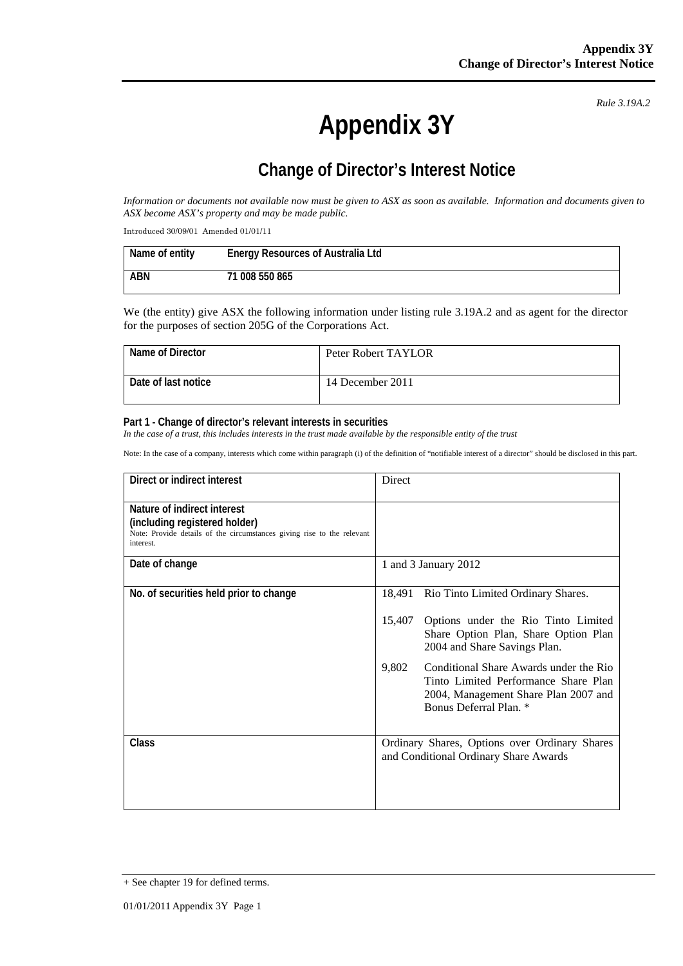*Rule 3.19A.2*

# **Appendix 3Y**

## **Change of Director's Interest Notice**

*Information or documents not available now must be given to ASX as soon as available. Information and documents given to ASX become ASX's property and may be made public.* 

Introduced 30/09/01 Amended 01/01/11

| Name of entity | <b>Energy Resources of Australia Ltd</b> |
|----------------|------------------------------------------|
| <b>ABN</b>     | 71 008 550 865                           |

We (the entity) give ASX the following information under listing rule 3.19A.2 and as agent for the director for the purposes of section 205G of the Corporations Act.

| Name of Director    | Peter Robert TAYLOR |
|---------------------|---------------------|
| Date of last notice | 14 December 2011    |

#### **Part 1 - Change of director's relevant interests in securities**

In the case of a trust, this includes interests in the trust made available by the responsible entity of the trust

Note: In the case of a company, interests which come within paragraph (i) of the definition of "notifiable interest of a director" should be disclosed in this part.

| Direct or indirect interest                                                                                                                         | Direct                                                                                                                                                    |
|-----------------------------------------------------------------------------------------------------------------------------------------------------|-----------------------------------------------------------------------------------------------------------------------------------------------------------|
| Nature of indirect interest<br>(including registered holder)<br>Note: Provide details of the circumstances giving rise to the relevant<br>interest. |                                                                                                                                                           |
| Date of change                                                                                                                                      | 1 and 3 January 2012                                                                                                                                      |
| No. of securities held prior to change                                                                                                              | 18,491<br>Rio Tinto Limited Ordinary Shares.                                                                                                              |
|                                                                                                                                                     | 15,407<br>Options under the Rio Tinto Limited<br>Share Option Plan, Share Option Plan<br>2004 and Share Savings Plan.                                     |
|                                                                                                                                                     | Conditional Share Awards under the Rio<br>9,802<br>Tinto Limited Performance Share Plan<br>2004, Management Share Plan 2007 and<br>Bonus Deferral Plan. * |
| <b>Class</b>                                                                                                                                        | Ordinary Shares, Options over Ordinary Shares<br>and Conditional Ordinary Share Awards                                                                    |

<sup>+</sup> See chapter 19 for defined terms.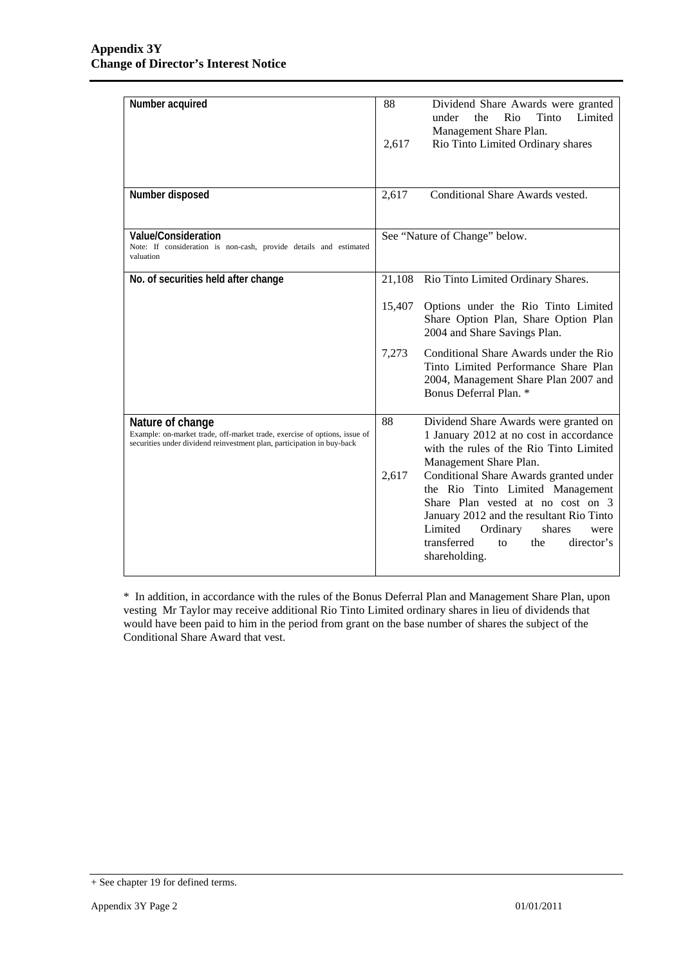| Number acquired                                                                                                                                                         | 88<br>Dividend Share Awards were granted<br>Limited<br>under<br>the<br>Rio<br>Tinto<br>Management Share Plan.<br>Rio Tinto Limited Ordinary shares<br>2,617                                                                                                              |
|-------------------------------------------------------------------------------------------------------------------------------------------------------------------------|--------------------------------------------------------------------------------------------------------------------------------------------------------------------------------------------------------------------------------------------------------------------------|
| Number disposed                                                                                                                                                         | Conditional Share Awards vested.<br>2,617                                                                                                                                                                                                                                |
| Value/Consideration<br>Note: If consideration is non-cash, provide details and estimated<br>valuation                                                                   | See "Nature of Change" below.                                                                                                                                                                                                                                            |
| No. of securities held after change                                                                                                                                     | 21,108<br>Rio Tinto Limited Ordinary Shares.                                                                                                                                                                                                                             |
|                                                                                                                                                                         | 15,407<br>Options under the Rio Tinto Limited<br>Share Option Plan, Share Option Plan<br>2004 and Share Savings Plan.                                                                                                                                                    |
|                                                                                                                                                                         | Conditional Share Awards under the Rio<br>7,273<br>Tinto Limited Performance Share Plan<br>2004, Management Share Plan 2007 and<br>Bonus Deferral Plan. *                                                                                                                |
| Nature of change<br>Example: on-market trade, off-market trade, exercise of options, issue of<br>securities under dividend reinvestment plan, participation in buy-back | 88<br>Dividend Share Awards were granted on<br>1 January 2012 at no cost in accordance<br>with the rules of the Rio Tinto Limited<br>Management Share Plan.                                                                                                              |
|                                                                                                                                                                         | 2,617<br>Conditional Share Awards granted under<br>the Rio Tinto Limited Management<br>Share Plan vested at no cost on 3<br>January 2012 and the resultant Rio Tinto<br>Limited<br>Ordinary<br>shares<br>were<br>transferred<br>the<br>director's<br>to<br>shareholding. |

\* In addition, in accordance with the rules of the Bonus Deferral Plan and Management Share Plan, upon vesting Mr Taylor may receive additional Rio Tinto Limited ordinary shares in lieu of dividends that would have been paid to him in the period from grant on the base number of shares the subject of the Conditional Share Award that vest.

<sup>+</sup> See chapter 19 for defined terms.